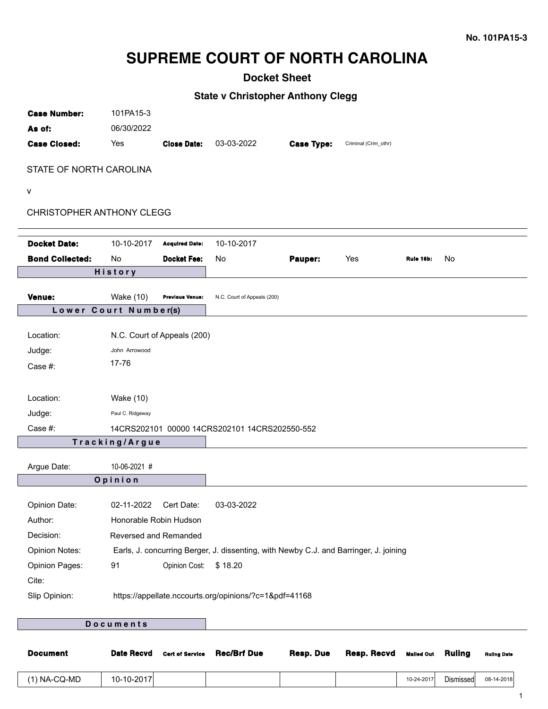# **SUPREME COURT OF NORTH CAROLINA**

# **Docket Sheet**

## **State v Christopher Anthony Clegg**

| <b>Case Number:</b>       | 101PA15-3             |                             |                                                                                       |                   |                      |           |    |
|---------------------------|-----------------------|-----------------------------|---------------------------------------------------------------------------------------|-------------------|----------------------|-----------|----|
| As of:                    | 06/30/2022            |                             |                                                                                       |                   |                      |           |    |
| <b>Case Closed:</b>       | Yes                   | <b>Close Date:</b>          | 03-03-2022                                                                            | <b>Case Type:</b> | Criminal (Crim_othr) |           |    |
|                           |                       |                             |                                                                                       |                   |                      |           |    |
| STATE OF NORTH CAROLINA   |                       |                             |                                                                                       |                   |                      |           |    |
| V                         |                       |                             |                                                                                       |                   |                      |           |    |
| CHRISTOPHER ANTHONY CLEGG |                       |                             |                                                                                       |                   |                      |           |    |
|                           |                       |                             |                                                                                       |                   |                      |           |    |
| <b>Docket Date:</b>       | 10-10-2017            | <b>Acquired Date:</b>       | 10-10-2017                                                                            |                   |                      |           |    |
| <b>Bond Collected:</b>    | No                    | <b>Docket Fee:</b>          | No                                                                                    | Pauper:           | Yes                  | Rule 16b: | No |
|                           | <b>History</b>        |                             |                                                                                       |                   |                      |           |    |
|                           |                       |                             |                                                                                       |                   |                      |           |    |
| Venue:                    | <b>Wake (10)</b>      | Previous Venue:             | N.C. Court of Appeals (200)                                                           |                   |                      |           |    |
|                           | Lower Court Number(s) |                             |                                                                                       |                   |                      |           |    |
| Location:                 |                       | N.C. Court of Appeals (200) |                                                                                       |                   |                      |           |    |
| Judge:                    | John Arrowood         |                             |                                                                                       |                   |                      |           |    |
| Case #:                   | 17-76                 |                             |                                                                                       |                   |                      |           |    |
|                           |                       |                             |                                                                                       |                   |                      |           |    |
| Location:                 | <b>Wake (10)</b>      |                             |                                                                                       |                   |                      |           |    |
| Judge:                    | Paul C. Ridgeway      |                             |                                                                                       |                   |                      |           |    |
| Case #:                   |                       |                             | 14CRS202101 00000 14CRS202101 14CRS202550-552                                         |                   |                      |           |    |
|                           | Tracking/Argue        |                             |                                                                                       |                   |                      |           |    |
|                           |                       |                             |                                                                                       |                   |                      |           |    |
| Argue Date:               | 10-06-2021 #          |                             |                                                                                       |                   |                      |           |    |
|                           | Opinion               |                             |                                                                                       |                   |                      |           |    |
| Opinion Date:             | 02-11-2022            | Cert Date:                  | 03-03-2022                                                                            |                   |                      |           |    |
| Author:                   |                       | Honorable Robin Hudson      |                                                                                       |                   |                      |           |    |
| Decision:                 |                       | Reversed and Remanded       |                                                                                       |                   |                      |           |    |
| <b>Opinion Notes:</b>     |                       |                             | Earls, J. concurring Berger, J. dissenting, with Newby C.J. and Barringer, J. joining |                   |                      |           |    |
| <b>Opinion Pages:</b>     | 91                    | Opinion Cost: \$18.20       |                                                                                       |                   |                      |           |    |
| Cite:                     |                       |                             |                                                                                       |                   |                      |           |    |
| Slip Opinion:             |                       |                             | https://appellate.nccourts.org/opinions/?c=1&pdf=41168                                |                   |                      |           |    |
|                           |                       |                             |                                                                                       |                   |                      |           |    |
|                           | Documents             |                             |                                                                                       |                   |                      |           |    |
|                           |                       |                             |                                                                                       |                   |                      |           |    |

| <b>Document</b> | <b>Date Recvd</b> | <b>Cert of Service</b> | <b>Rec/Brf Due</b> | Resp. Due | Resp. Recvd | Malled Out Ruling |           | <b>Ruling Date</b> |
|-----------------|-------------------|------------------------|--------------------|-----------|-------------|-------------------|-----------|--------------------|
| (1) NA-CQ-MD    | 10-10-2017        |                        |                    |           |             | 10-24-2017        | Dismissed | 08-14-2018         |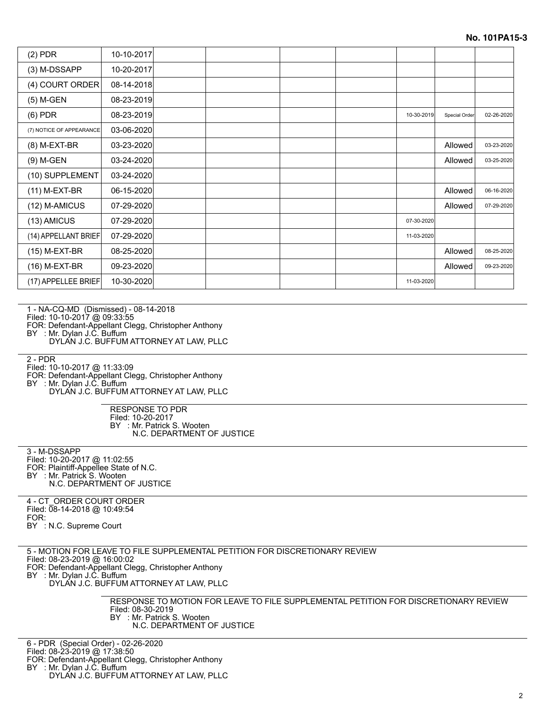| $(2)$ PDR                | 10-10-2017 |  |  |            |               |            |
|--------------------------|------------|--|--|------------|---------------|------------|
| (3) M-DSSAPP             | 10-20-2017 |  |  |            |               |            |
| (4) COURT ORDER          | 08-14-2018 |  |  |            |               |            |
| (5) M-GEN                | 08-23-2019 |  |  |            |               |            |
| $(6)$ PDR                | 08-23-2019 |  |  | 10-30-2019 | Special Order | 02-26-2020 |
| (7) NOTICE OF APPEARANCE | 03-06-2020 |  |  |            |               |            |
| (8) M-EXT-BR             | 03-23-2020 |  |  |            | Allowed       | 03-23-2020 |
| (9) M-GEN                | 03-24-2020 |  |  |            | Allowed       | 03-25-2020 |
| (10) SUPPLEMENT          | 03-24-2020 |  |  |            |               |            |
| (11) M-EXT-BR            | 06-15-2020 |  |  |            | Allowed       | 06-16-2020 |
| (12) M-AMICUS            | 07-29-2020 |  |  |            | Allowed       | 07-29-2020 |
| (13) AMICUS              | 07-29-2020 |  |  | 07-30-2020 |               |            |
| (14) APPELLANT BRIEF     | 07-29-2020 |  |  | 11-03-2020 |               |            |
| (15) M-EXT-BR            | 08-25-2020 |  |  |            | Allowed       | 08-25-2020 |
| (16) M-EXT-BR            | 09-23-2020 |  |  |            | Allowed       | 09-23-2020 |
| (17) APPELLEE BRIEF      | 10-30-2020 |  |  | 11-03-2020 |               |            |

1 - NA-CQ-MD (Dismissed) - 08-14-2018

Filed: 10-10-2017 @ 09:33:55

FOR: Defendant-Appellant Clegg, Christopher Anthony

BY : Mr. Dylan J.C. Buffum

DYLAN J.C. BUFFUM ATTORNEY AT LAW, PLLC

2 - PDR

Filed: 10-10-2017 @ 11:33:09

FOR: Defendant-Appellant Clegg, Christopher Anthony

BY : Mr. Dylan J.C. Buffum

DYLAN J.C. BUFFUM ATTORNEY AT LAW, PLLC

RESPONSE TO PDR Filed: 10-20-2017 BY : Mr. Patrick S. Wooten N.C. DEPARTMENT OF JUSTICE

3 - M-DSSAPP Filed: 10-20-2017 @ 11:02:55 FOR: Plaintiff-Appellee State of N.C. BY : Mr. Patrick S. Wooten N.C. DEPARTMENT OF JUSTICE

4 - CT\_ORDER COURT ORDER Filed: 08-14-2018 @ 10:49:54 FOR: BY : N.C. Supreme Court

5 - MOTION FOR LEAVE TO FILE SUPPLEMENTAL PETITION FOR DISCRETIONARY REVIEW

Filed: 08-23-2019 @ 16:00:02

FOR: Defendant-Appellant Clegg, Christopher Anthony BY : Mr. Dylan J.C. Buffum

DYLAN J.C. BUFFUM ATTORNEY AT LAW, PLLC

RESPONSE TO MOTION FOR LEAVE TO FILE SUPPLEMENTAL PETITION FOR DISCRETIONARY REVIEW Filed: 08-30-2019 BY : Mr. Patrick S. Wooten N.C. DEPARTMENT OF JUSTICE

6 - PDR (Special Order) - 02-26-2020

Filed: 08-23-2019 @ 17:38:50

FOR: Defendant-Appellant Clegg, Christopher Anthony

BY : Mr. Dylan J.C. Buffum

DYLAN J.C. BUFFUM ATTORNEY AT LAW, PLLC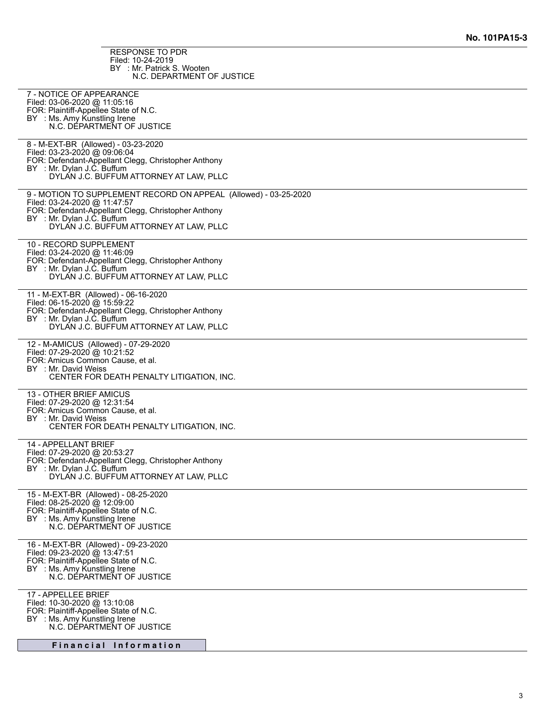RESPONSE TO PDR Filed: 10-24-2019 BY : Mr. Patrick S. Wooten N.C. DEPARTMENT OF JUSTICE

| 7 - NOTICE OF APPEARANCE<br>Filed: 03-06-2020 @ 11:05:16<br>FOR: Plaintiff-Appellee State of N.C.<br>BY : Ms. Amy Kunstling Irene                        |
|----------------------------------------------------------------------------------------------------------------------------------------------------------|
| N.C. DEPARTMENT OF JUSTICE                                                                                                                               |
| 8 - M-EXT-BR (Allowed) - 03-23-2020<br>Filed: 03-23-2020 @ 09:06:04<br>FOR: Defendant-Appellant Clegg, Christopher Anthony<br>BY : Mr. Dylan J.C. Buffum |
| DYLAN J.C. BUFFUM ATTORNEY AT LAW, PLLC                                                                                                                  |
| 9 - MOTION TO SUPPLEMENT RECORD ON APPEAL (Allowed) - 03-25-2020<br>Filed: 03-24-2020 @ 11:47:57<br>FOR: Defendant-Appellant Clegg, Christopher Anthony  |
| BY : Mr. Dylan J.C. Buffum<br>DYLAN J.C. BUFFUM ATTORNEY AT LAW, PLLC                                                                                    |
| 10 - RECORD SUPPLEMENT<br>Filed: 03-24-2020 @ 11:46:09<br>FOR: Defendant-Appellant Clegg, Christopher Anthony                                            |
| BY : Mr. Dylan J.C. Buffum<br>DYLAN J.C. BUFFUM ATTORNEY AT LAW, PLLC                                                                                    |
| 11 - M-EXT-BR (Allowed) - 06-16-2020<br>Filed: 06-15-2020 @ 15:59:22<br>FOR: Defendant-Appellant Clegg, Christopher Anthony                              |
| BY : Mr. Dylan J.C. Buffum<br>DYLAN J.C. BUFFUM ATTORNEY AT LAW, PLLC                                                                                    |
| 12 - M-AMICUS (Allowed) - 07-29-2020<br>Filed: 07-29-2020 @ 10:21:52<br>FOR: Amicus Common Cause, et al.                                                 |
| BY : Mr. David Weiss<br>CENTER FOR DEATH PENALTY LITIGATION, INC.                                                                                        |
| 13 - OTHER BRIEF AMICUS<br>Filed: 07-29-2020 @ 12:31:54<br>FOR: Amicus Common Cause, et al.                                                              |
| BY : Mr. David Weiss<br>CENTER FOR DEATH PENALTY LITIGATION, INC.                                                                                        |
| 14 - APPELLANT BRIEF<br>Filed: 07-29-2020 @ 20:53:27<br>FOR: Defendant-Appellant Clegg, Christopher Anthony                                              |
| BY : Mr. Dylan J.C. Buffum<br>DYLAN J.C. BUFFUM ATTORNEY AT LAW, PLLC                                                                                    |
| 15 - M-EXT-BR (Allowed) - 08-25-2020<br>Filed: 08-25-2020 @ 12:09:00<br>FOR: Plaintiff-Appellee State of N.C.                                            |
| BY : Ms. Amy Kunstling Irene<br>N.C. DÉPARTMENT OF JUSTICE                                                                                               |
| 16 - M-EXT-BR (Allowed) - 09-23-2020<br>Filed: 09-23-2020 @ 13:47:51<br>FOR: Plaintiff-Appellee State of N.C.                                            |
| BY : Ms. Amy Kunstling Irene<br>N.C. DÉPARTMENT OF JUSTICE                                                                                               |
| 17 - APPELLEE BRIEF<br>Filed: 10-30-2020 @ 13:10:08<br>FOR: Plaintiff-Appellee State of N.C.                                                             |
| BY : Ms. Amy Kunstling Irene<br>N.C. DÉPARTMENT OF JUSTICE                                                                                               |
| Financial Information                                                                                                                                    |
|                                                                                                                                                          |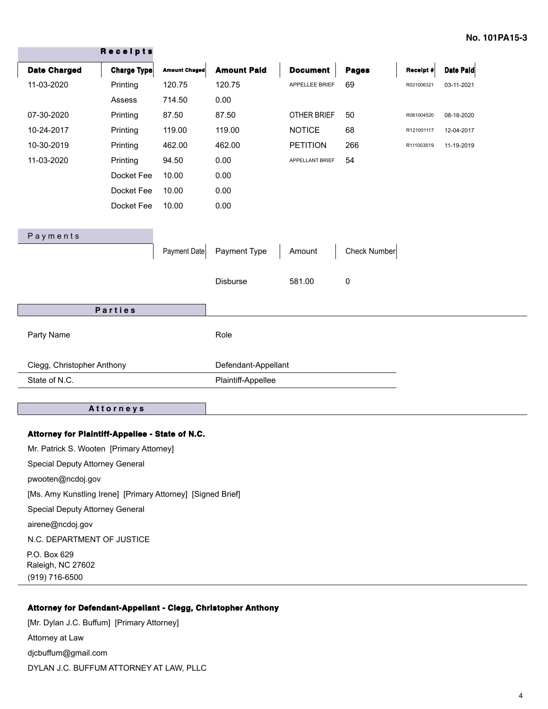|                            | Receipts    |                      |                     |                 |              |            |            |
|----------------------------|-------------|----------------------|---------------------|-----------------|--------------|------------|------------|
| <b>Date Charged</b>        | Charge Type | <b>Amount Chaged</b> | <b>Amount Paid</b>  | <b>Document</b> | <b>Pages</b> | Receipt #  | Date Paid  |
| 11-03-2020                 | Printing    | 120.75               | 120.75              | APPELLEE BRIEF  | 69           | R031006321 | 03-11-2021 |
|                            | Assess      | 714.50               | 0.00                |                 |              |            |            |
| 07-30-2020                 | Printing    | 87.50                | 87.50               | OTHER BRIEF     | 50           | R081004520 | 08-18-2020 |
| 10-24-2017                 | Printing    | 119.00               | 119.00              | <b>NOTICE</b>   | 68           | R121001117 | 12-04-2017 |
| 10-30-2019                 | Printing    | 462.00               | 462.00              | <b>PETITION</b> | 266          | R111003519 | 11-19-2019 |
| 11-03-2020                 | Printing    | 94.50                | 0.00                | APPELLANT BRIEF | 54           |            |            |
|                            | Docket Fee  | 10.00                | 0.00                |                 |              |            |            |
|                            | Docket Fee  | 10.00                | 0.00                |                 |              |            |            |
|                            | Docket Fee  | 10.00                | 0.00                |                 |              |            |            |
|                            |             |                      |                     |                 |              |            |            |
| Payments                   |             |                      |                     |                 |              |            |            |
|                            |             | Payment Date         | Payment Type        | Amount          | Check Number |            |            |
|                            |             |                      |                     |                 |              |            |            |
|                            |             |                      | <b>Disburse</b>     | 581.00          | 0            |            |            |
|                            |             |                      |                     |                 |              |            |            |
|                            | Parties     |                      |                     |                 |              |            |            |
| Party Name                 |             |                      | Role                |                 |              |            |            |
|                            |             |                      |                     |                 |              |            |            |
| Clegg, Christopher Anthony |             |                      | Defendant-Appellant |                 |              |            |            |
| State of N.C.              |             |                      | Plaintiff-Appellee  |                 |              |            |            |
|                            |             |                      |                     |                 |              |            |            |

#### **A t t o r n e y s**

#### **Attorney for Plaintiff-Appellee - State of N.C.**

Mr. Patrick S. Wooten [Primary Attorney] Special Deputy Attorney General pwooten@ncdoj.gov [Ms. Amy Kunstling Irene] [Primary Attorney] [Signed Brief] Special Deputy Attorney General airene@ncdoj.gov N.C. DEPARTMENT OF JUSTICE P.O. Box 629 Raleigh, NC 27602 (919) 716-6500

### **Attorney for Defendant-Appellant - Clegg, Christopher Anthony**

[Mr. Dylan J.C. Buffum] [Primary Attorney] Attorney at Law djcbuffum@gmail.com DYLAN J.C. BUFFUM ATTORNEY AT LAW, PLLC